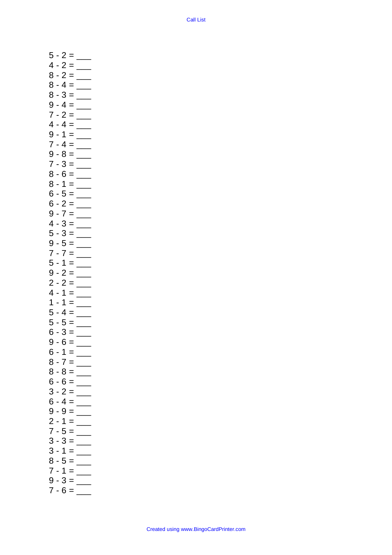5 - 2 = \_\_\_ 4 - 2 = \_\_\_ 8 - 2 = \_\_\_ 8 - 4 = \_\_\_ 8 - 3 = \_\_\_ 9 - 4 = \_\_\_ 7 - 2 = \_\_\_ 4 - 4 = \_\_\_ 9 - 1 = \_\_\_  $7 - 4 =$ 9 - 8 = \_\_\_ 7 - 3 = \_\_\_ 8 - 6 = \_\_\_ 8 - 1 = \_\_\_ 6 - 5 = \_\_\_ 6 - 2 = \_\_\_  $9 - 7 =$  $4 - 3 =$ 5 - 3 = \_\_\_ 9 - 5 = \_\_\_ 7 - 7 = \_\_\_ 5 - 1 = \_\_\_ 9 - 2 = \_\_\_ 2 - 2 = \_\_\_  $4 - 1 =$  $1 - 1 =$  $5 - 4 = \_$ 5 - 5 = \_\_\_  $6 - 3 =$ 9 - 6 = \_\_\_  $6 - 1 =$ 8 - 7 = \_\_\_ 8 - 8 = \_\_\_  $6 - 6 =$ 3 - 2 = \_\_\_ 6 - 4 = \_\_\_ 9 - 9 = \_\_\_  $2 - 1 =$  $7 - 5 =$  $3 - 3 =$  $3 - 1 = \_$ 8 - 5 = \_\_\_  $7 - 1 =$  $9 - 3 =$  $7 - 6 =$ 

Created using www.BingoCardPrinter.com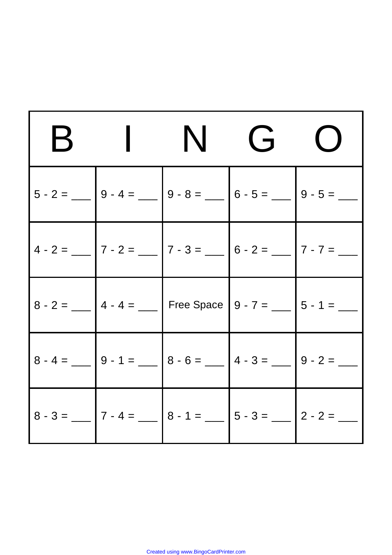| $\mathsf B$ | ING O                                                                                                                                                     |  |
|-------------|-----------------------------------------------------------------------------------------------------------------------------------------------------------|--|
|             | $5 - 2 =$ 9 - 4 = $\begin{bmatrix} 9 - 4 = \end{bmatrix}$ 9 - 8 = $\begin{bmatrix} 9 - 8 = \end{bmatrix}$ 6 - 5 = $\begin{bmatrix} 9 - 5 = \end{bmatrix}$ |  |
|             | $4 - 2 =$ 7 - 2 = 7 - 3 = 7 - 3 = 7 - 2 = 7 - 7 = 7 - 7 = 7 - 7 = 7 - 7 = 7 - 7 = 7 - 7 = 7 - 7 = 7 - 7 = 7 - 7 = 7 - 7 = 7 - 7 = 7 - 7 = $-$             |  |
|             | $8 - 2 =$ ___ $4 - 4 =$ ___   Free Space   9 - 7 = ___   5 - 1 = ___                                                                                      |  |
|             |                                                                                                                                                           |  |
|             |                                                                                                                                                           |  |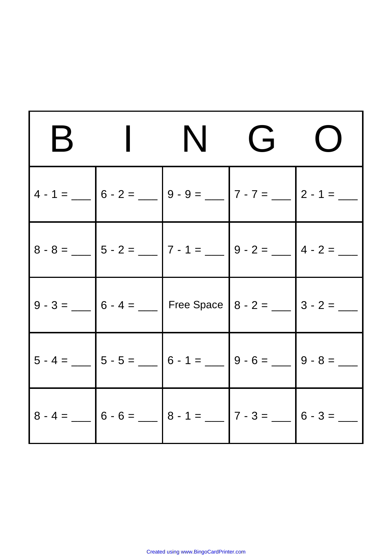| $\mathbf B$ |                                                                                                                                                       | ING | $\bigcup$ |
|-------------|-------------------------------------------------------------------------------------------------------------------------------------------------------|-----|-----------|
|             | $4 - 1 =$ $\begin{bmatrix} 6 - 2 = \end{bmatrix}$ $9 - 9 =$ $\begin{bmatrix} 7 - 7 = \end{bmatrix}$ $2 - 1 =$ $\begin{bmatrix} 2 - 1 = \end{bmatrix}$ |     |           |
|             |                                                                                                                                                       |     |           |
|             | 9 - 3 = __ $6 - 4 =$ __ Free Space $8 - 2 =$ __ $3 - 2 =$ __                                                                                          |     |           |
|             |                                                                                                                                                       |     |           |
|             |                                                                                                                                                       |     |           |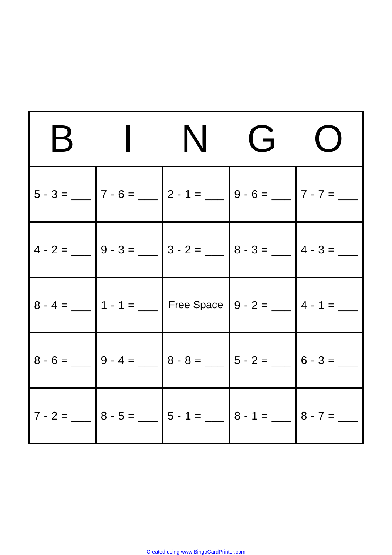| $\mathsf B$ | ING                                                                                                                                               | $\bigcup$ |
|-------------|---------------------------------------------------------------------------------------------------------------------------------------------------|-----------|
|             | $5 - 3 =$ ______ $7 - 6 =$ _____ $2 - 1 =$ _____ $9 - 6 =$ _____ $7 - 7 =$ _____                                                                  |           |
|             |                                                                                                                                                   |           |
|             | $8 - 4 =$ ______ 1 - 1 = ______ Free Space 9 - 2 = _____ 4 - 1 = ____                                                                             |           |
|             |                                                                                                                                                   |           |
|             | $7 - 2 =$ $\begin{bmatrix} 8 - 5 = \end{bmatrix}$ 5 - 1 = $\begin{bmatrix} 5 - 1 = \end{bmatrix}$ 8 - 1 = $\begin{bmatrix} 8 - 7 = \end{bmatrix}$ |           |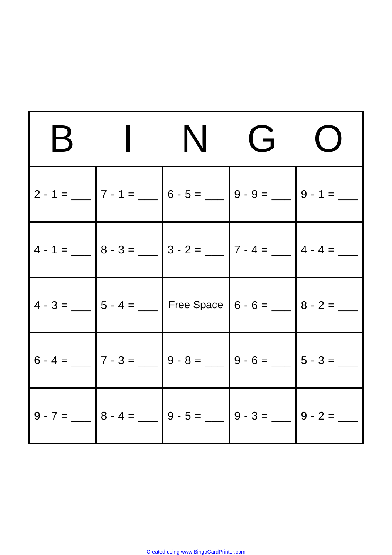| $\mathsf B$ |                                                                                                                                        | ING |  |
|-------------|----------------------------------------------------------------------------------------------------------------------------------------|-----|--|
|             | $2 - 1 =$ $\begin{array}{ c c c c c c c c } \hline 7 - 1 = & 6 - 5 = \text{---} & 9 - 9 = \text{---} & 9 - 1 = \text{---} \end{array}$ |     |  |
|             | $4 - 1 =$ $8 - 3 =$ $8 - 3 =$ $3 - 2 =$ $7 - 4 =$ $4 - 4 =$ $-$                                                                        |     |  |
|             | $4 - 3 =$ ___ $5 - 4 =$ ___ Free Space $6 - 6 =$ ___ $8 - 2 =$ ___                                                                     |     |  |
|             |                                                                                                                                        |     |  |
|             |                                                                                                                                        |     |  |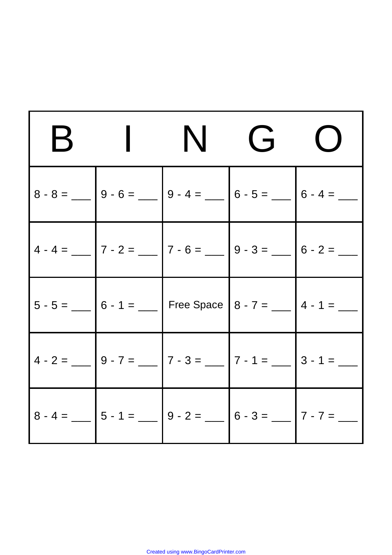| $\mathsf B$ | ING                                                                                    | $\bigcup$ |
|-------------|----------------------------------------------------------------------------------------|-----------|
|             |                                                                                        |           |
|             |                                                                                        |           |
|             | $\Big  5 - 5 =$ ___ $\Big  6 - 1 =$ Free Space $\Big  8 - 7 =$ ___ $\Big  4 - 1 =$ ___ |           |
|             | $4 - 2 =$ 9 - 7 = $\boxed{)} - 7 - 3 =$ $\boxed{7 - 1 =$ $\boxed{3 - 1 =$              |           |
|             |                                                                                        |           |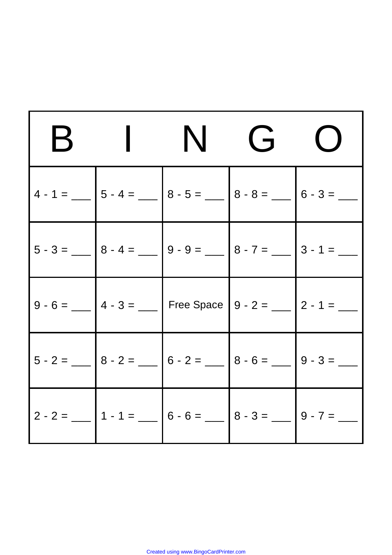| $\mathsf B$ |                                                                                                                                                    | $N$ G |  |
|-------------|----------------------------------------------------------------------------------------------------------------------------------------------------|-------|--|
|             | $4 - 1 =$ $ 5 - 4 =$ $ 8 - 5 =$ $ 8 - 8 =$ $ 6 - 3 =$ $-$                                                                                          |       |  |
|             | $\Big  5 - 3 = \_\_\_\_\_\_\_\_\_$ 8 - 4 = $\_\_\_\_\_\_\_\_\_$ 9 - 9 = $\_\_\_\_\_\_\_\_$ 8 - 7 = $\_\_\_\_\_\_\_$ 3 - 1 = $\_\_\_\_\_\_\_\_\_\_$ |       |  |
|             | $9 - 6 =$ ___ $4 - 3 =$ ___ Free Space $9 - 2 =$ ___ $2 - 1 =$ ___                                                                                 |       |  |
|             |                                                                                                                                                    |       |  |
|             |                                                                                                                                                    |       |  |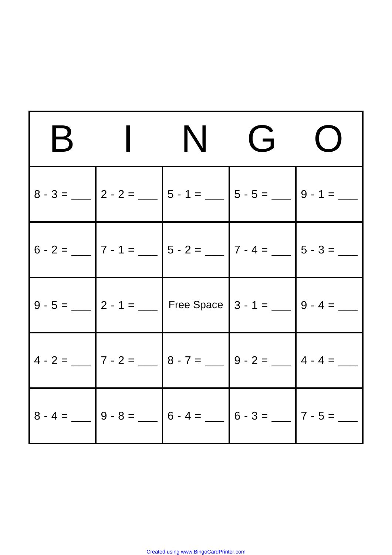| $\mathsf B$ | ING                                                          | $\bigcup$ |
|-------------|--------------------------------------------------------------|-----------|
|             |                                                              |           |
|             |                                                              |           |
|             | $9 - 5 =$ ___ 2 - 1 = ___ Free Space 3 - 1 = ___ 9 - 4 = ___ |           |
|             |                                                              |           |
|             |                                                              |           |